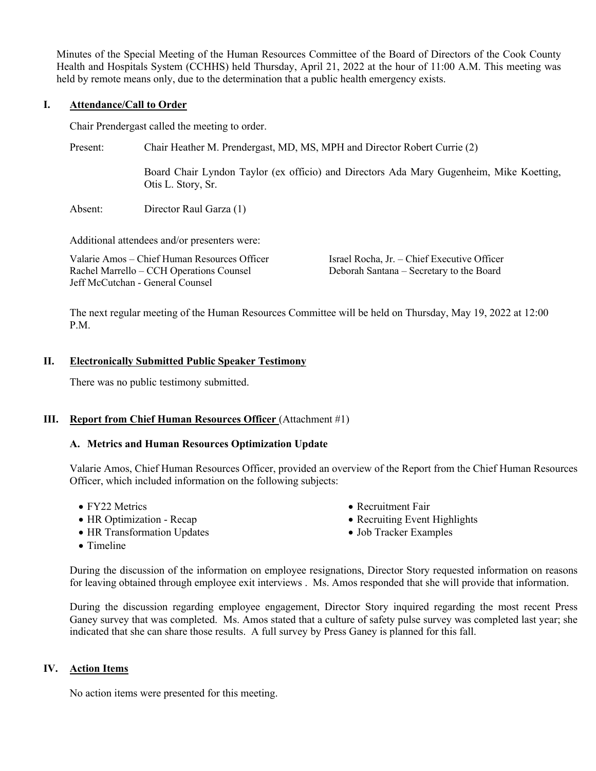Minutes of the Special Meeting of the Human Resources Committee of the Board of Directors of the Cook County Health and Hospitals System (CCHHS) held Thursday, April 21, 2022 at the hour of 11:00 A.M. This meeting was held by remote means only, due to the determination that a public health emergency exists.

## **I. Attendance/Call to Order**

Chair Prendergast called the meeting to order.

Present: Chair Heather M. Prendergast, MD, MS, MPH and Director Robert Currie (2)

Board Chair Lyndon Taylor (ex officio) and Directors Ada Mary Gugenheim, Mike Koetting, Otis L. Story, Sr.

Absent: Director Raul Garza (1)

Additional attendees and/or presenters were:

Valarie Amos – Chief Human Resources Officer Rachel Marrello – CCH Operations Counsel Jeff McCutchan - General Counsel

Israel Rocha, Jr. – Chief Executive Officer Deborah Santana – Secretary to the Board

The next regular meeting of the Human Resources Committee will be held on Thursday, May 19, 2022 at 12:00 P.M.

### **II. Electronically Submitted Public Speaker Testimony**

There was no public testimony submitted.

# **III. Report from Chief Human Resources Officer** (Attachment #1)

### **A. Metrics and Human Resources Optimization Update**

Valarie Amos, Chief Human Resources Officer, provided an overview of the Report from the Chief Human Resources Officer, which included information on the following subjects:

- FY22 Metrics
- HR Optimization Recap
- HR Transformation Updates
- Recruitment Fair
- Recruiting Event Highlights
- Job Tracker Examples

• Timeline

During the discussion of the information on employee resignations, Director Story requested information on reasons for leaving obtained through employee exit interviews . Ms. Amos responded that she will provide that information.

During the discussion regarding employee engagement, Director Story inquired regarding the most recent Press Ganey survey that was completed. Ms. Amos stated that a culture of safety pulse survey was completed last year; she indicated that she can share those results. A full survey by Press Ganey is planned for this fall.

# **IV. Action Items**

No action items were presented for this meeting.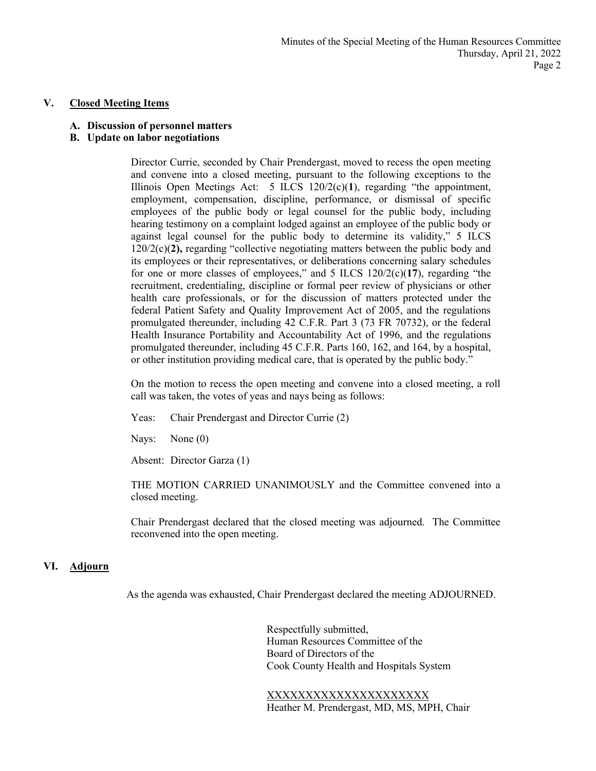#### **V. Closed Meeting Items**

#### **A. Discussion of personnel matters**

### **B. Update on labor negotiations**

Director Currie, seconded by Chair Prendergast, moved to recess the open meeting and convene into a closed meeting, pursuant to the following exceptions to the Illinois Open Meetings Act: 5 ILCS 120/2(c)(**1**), regarding "the appointment, employment, compensation, discipline, performance, or dismissal of specific employees of the public body or legal counsel for the public body, including hearing testimony on a complaint lodged against an employee of the public body or against legal counsel for the public body to determine its validity," 5 ILCS 120/2(c)(**2),** regarding "collective negotiating matters between the public body and its employees or their representatives, or deliberations concerning salary schedules for one or more classes of employees," and 5 ILCS 120/2(c)(**17**), regarding "the recruitment, credentialing, discipline or formal peer review of physicians or other health care professionals, or for the discussion of matters protected under the federal Patient Safety and Quality Improvement Act of 2005, and the regulations promulgated thereunder, including 42 C.F.R. Part 3 (73 FR 70732), or the federal Health Insurance Portability and Accountability Act of 1996, and the regulations promulgated thereunder, including 45 C.F.R. Parts 160, 162, and 164, by a hospital, or other institution providing medical care, that is operated by the public body."

On the motion to recess the open meeting and convene into a closed meeting, a roll call was taken, the votes of yeas and nays being as follows:

Yeas: Chair Prendergast and Director Currie (2)

Nays: None (0)

Absent: Director Garza (1)

THE MOTION CARRIED UNANIMOUSLY and the Committee convened into a closed meeting.

Chair Prendergast declared that the closed meeting was adjourned. The Committee reconvened into the open meeting.

### **VI. Adjourn**

As the agenda was exhausted, Chair Prendergast declared the meeting ADJOURNED.

Respectfully submitted, Human Resources Committee of the Board of Directors of the Cook County Health and Hospitals System

XXXXXXXXXXXXXXXXXXXXX Heather M. Prendergast, MD, MS, MPH, Chair